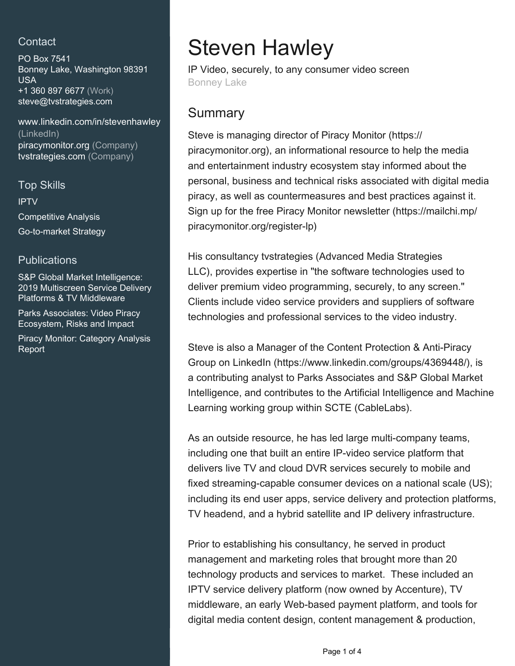## **Contact**

PO Box 7541 Bonney Lake, Washington 98391 USA +1 360 897 6677 (Work) [steve@tvstrategies.com](mailto:steve@tvstrategies.com)

[www.linkedin.com/in/stevenhawley](https://www.linkedin.com/in/stevenhawley?jobid=1234&lipi=urn%3Ali%3Apage%3Ad_jobs_easyapply_pdfgenresume%3BEmmbw%2BKVTg%2BCmqMqtmZk1w%3D%3D&licu=urn%3Ali%3Acontrol%3Ad_jobs_easyapply_pdfgenresume-v02_profile) [\(LinkedIn\)](https://www.linkedin.com/in/stevenhawley?jobid=1234&lipi=urn%3Ali%3Apage%3Ad_jobs_easyapply_pdfgenresume%3BEmmbw%2BKVTg%2BCmqMqtmZk1w%3D%3D&licu=urn%3Ali%3Acontrol%3Ad_jobs_easyapply_pdfgenresume-v02_profile) [piracymonitor.org \(Company\)](https://piracymonitor.org) [tvstrategies.com \(Company\)](https://tvstrategies.com)

#### Top Skills

IPTV Competitive Analysis Go-to-market Strategy

### **Publications**

S&P Global Market Intelligence: 2019 Multiscreen Service Delivery Platforms & TV Middleware

Parks Associates: Video Piracy Ecosystem, Risks and Impact

Piracy Monitor: Category Analysis Report

# Steven Hawley

IP Video, securely, to any consumer video screen Bonney Lake

# **Summary**

Steve is managing director of Piracy Monitor (https:// piracymonitor.org), an informational resource to help the media and entertainment industry ecosystem stay informed about the personal, business and technical risks associated with digital media piracy, as well as countermeasures and best practices against it. Sign up for the free Piracy Monitor newsletter (https://mailchi.mp/ piracymonitor.org/register-lp)

His consultancy tvstrategies (Advanced Media Strategies LLC), provides expertise in "the software technologies used to deliver premium video programming, securely, to any screen." Clients include video service providers and suppliers of software technologies and professional services to the video industry.

Steve is also a Manager of the Content Protection & Anti-Piracy Group on LinkedIn (https://www.linkedin.com/groups/4369448/), is a contributing analyst to Parks Associates and S&P Global Market Intelligence, and contributes to the Artificial Intelligence and Machine Learning working group within SCTE (CableLabs).

As an outside resource, he has led large multi-company teams, including one that built an entire IP-video service platform that delivers live TV and cloud DVR services securely to mobile and fixed streaming-capable consumer devices on a national scale (US); including its end user apps, service delivery and protection platforms, TV headend, and a hybrid satellite and IP delivery infrastructure.

Prior to establishing his consultancy, he served in product management and marketing roles that brought more than 20 technology products and services to market. These included an IPTV service delivery platform (now owned by Accenture), TV middleware, an early Web-based payment platform, and tools for digital media content design, content management & production,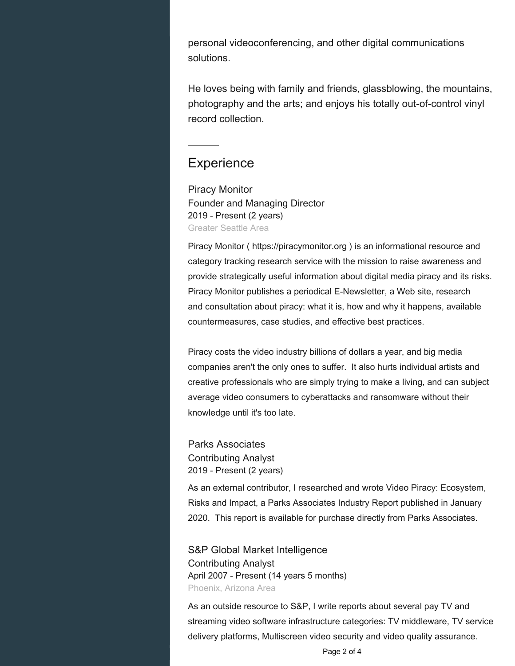personal videoconferencing, and other digital communications solutions.

He loves being with family and friends, glassblowing, the mountains, photography and the arts; and enjoys his totally out-of-control vinyl record collection.

## **Experience**

Piracy Monitor Founder and Managing Director 2019 - Present (2 years) Greater Seattle Area

Piracy Monitor ( https://piracymonitor.org ) is an informational resource and category tracking research service with the mission to raise awareness and provide strategically useful information about digital media piracy and its risks. Piracy Monitor publishes a periodical E-Newsletter, a Web site, research and consultation about piracy: what it is, how and why it happens, available countermeasures, case studies, and effective best practices.

Piracy costs the video industry billions of dollars a year, and big media companies aren't the only ones to suffer. It also hurts individual artists and creative professionals who are simply trying to make a living, and can subject average video consumers to cyberattacks and ransomware without their knowledge until it's too late.

Parks Associates Contributing Analyst 2019 - Present (2 years)

As an external contributor, I researched and wrote Video Piracy: Ecosystem, Risks and Impact, a Parks Associates Industry Report published in January 2020. This report is available for purchase directly from Parks Associates.

S&P Global Market Intelligence Contributing Analyst April 2007 - Present (14 years 5 months) Phoenix, Arizona Area

As an outside resource to S&P, I write reports about several pay TV and streaming video software infrastructure categories: TV middleware, TV service delivery platforms, Multiscreen video security and video quality assurance.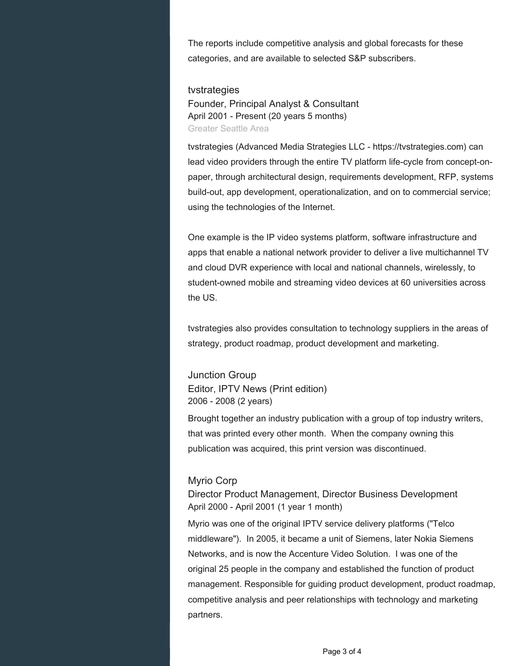The reports include competitive analysis and global forecasts for these categories, and are available to selected S&P subscribers.

#### tvstrategies

Founder, Principal Analyst & Consultant April 2001 - Present (20 years 5 months) Greater Seattle Area

tvstrategies (Advanced Media Strategies LLC - https://tvstrategies.com) can lead video providers through the entire TV platform life-cycle from concept-onpaper, through architectural design, requirements development, RFP, systems build-out, app development, operationalization, and on to commercial service; using the technologies of the Internet.

One example is the IP video systems platform, software infrastructure and apps that enable a national network provider to deliver a live multichannel TV and cloud DVR experience with local and national channels, wirelessly, to student-owned mobile and streaming video devices at 60 universities across the US.

tvstrategies also provides consultation to technology suppliers in the areas of strategy, product roadmap, product development and marketing.

Junction Group Editor, IPTV News (Print edition) 2006 - 2008 (2 years)

Brought together an industry publication with a group of top industry writers, that was printed every other month. When the company owning this publication was acquired, this print version was discontinued.

#### Myrio Corp

Director Product Management, Director Business Development April 2000 - April 2001 (1 year 1 month)

Myrio was one of the original IPTV service delivery platforms ("Telco middleware"). In 2005, it became a unit of Siemens, later Nokia Siemens Networks, and is now the Accenture Video Solution. I was one of the original 25 people in the company and established the function of product management. Responsible for guiding product development, product roadmap, competitive analysis and peer relationships with technology and marketing partners.